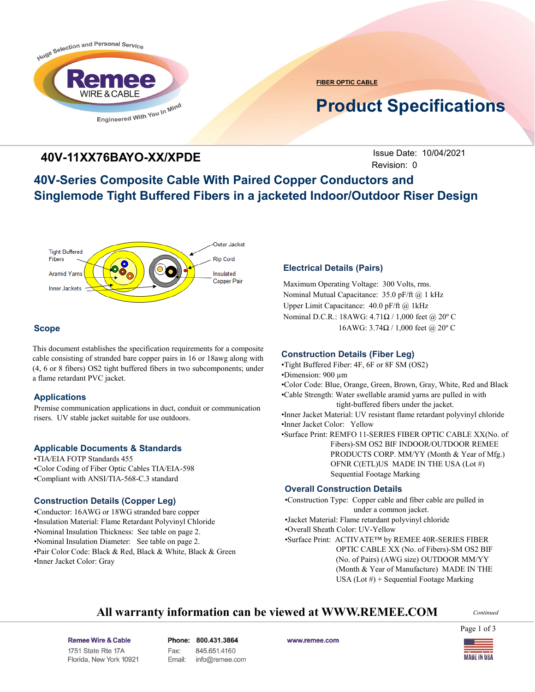

**FIBER OPTIC CABLE**

# **Product Specifications**

### **40V-11XX76BAYO-XX/XPDE**

**Issue Date: 10/04/2021** Revision: 0

## **40V-Series Composite Cable With Paired Copper Conductors and Singlemode Tight Buffered Fibers in a jacketed Indoor/Outdoor Riser Design**



### **Scope**

This document establishes the specification requirements for a composite cable consisting of stranded bare copper pairs in 16 or 18awg along with (4, 6 or 8 fibers) OS2 tight buffered fibers in two subcomponents; under a flame retardant PVC jacket.

### **Applications**

Premise communication applications in duct, conduit or communication risers. UV stable jacket suitable for use outdoors.

#### **Applicable Documents & Standards**

•TIA/EIA FOTP Standards 455 •Color Coding of Fiber Optic Cables TIA/EIA-598 •Compliant with ANSI/TIA-568-C.3 standard

#### **Construction Details (Copper Leg)**

•Conductor: 16AWG or 18WG stranded bare copper •Insulation Material: Flame Retardant Polyvinyl Chloride •Nominal Insulation Thickness: See table on page 2. •Nominal Insulation Diameter: See table on page 2. •Pair Color Code: Black & Red, Black & White, Black & Green •Inner Jacket Color: Gray

### **Electrical Details (Pairs)**

Maximum Operating Voltage: 300 Volts, rms. Nominal Mutual Capacitance: 35.0 pF/ft @ 1 kHz Upper Limit Capacitance: 40.0 pF/ft @ 1kHz Nominal D.C.R.: 18AWG: 4.71Ω / 1,000 feet @ 20º C 16AWG: 3.74Ω / 1,000 feet @ 20° C

### **Construction Details (Fiber Leg)**

•Tight Buffered Fiber: 4F, 6F or 8F SM (OS2) •Dimension: 900 µm

•Color Code: Blue, Orange, Green, Brown, Gray, White, Red and Black

•Cable Strength: Water swellable aramid yarns are pulled in with tight-buffered fibers under the jacket.

•Inner Jacket Material: UV resistant flame retardant polyvinyl chloride •Inner Jacket Color: Yellow

•Surface Print: REMFO 11-SERIES FIBER OPTIC CABLE XX(No. of Fibers)-SM OS2 BIF INDOOR/OUTDOOR REMEE PRODUCTS CORP. MM/YY (Month & Year of Mfg.) OFNR C(ETL)US MADE IN THE USA (Lot #) Sequential Footage Marking

### **Overall Construction Details**

•Construction Type: Copper cable and fiber cable are pulled in under a common jacket. •Jacket Material: Flame retardant polyvinyl chloride •Overall Sheath Color: UV-Yellow •Surface Print: ACTIVATE™ by REMEE 40R-SERIES FIBER OPTIC CABLE XX (No. of Fibers)-SM OS2 BIF (No. of Pairs) (AWG size) OUTDOOR MM/YY (Month & Year of Manufacture) MADE IN THE USA (Lot #) + Sequential Footage Marking

### **All warranty information can be viewed at WWW.REMEE.COM**

*Continued*

Remee Wire & Cable Issue No.: 05 Florida, New York 10921 Phone: 800.431.3864 Fax: 845.651.4160 Email: info@remee.com www.remee.com

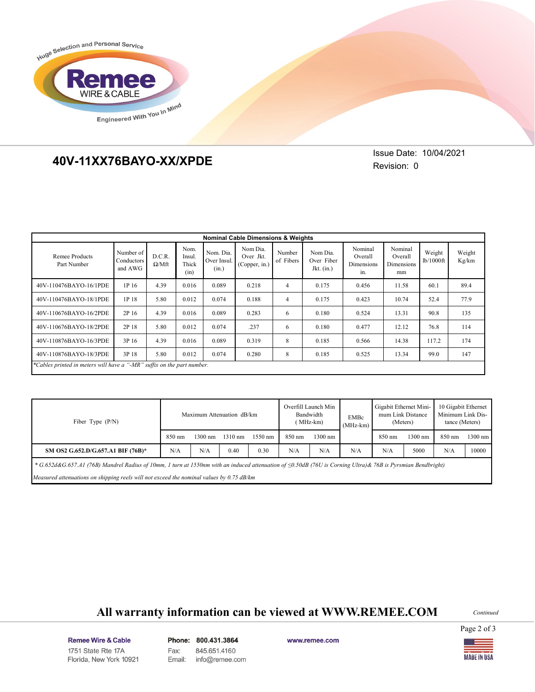

# **40V-11XX76BAYO-XX/XPDE 40V-11XX76BAYO-XX/XPDE**

Issue Date: 10/04/2021 Revision: 0

| <b>Nominal Cable Dimensions &amp; Weights</b>                          |                                    |                        |                                 |                                   |                                        |                     |                                        |                                         |                                        |                     |                 |
|------------------------------------------------------------------------|------------------------------------|------------------------|---------------------------------|-----------------------------------|----------------------------------------|---------------------|----------------------------------------|-----------------------------------------|----------------------------------------|---------------------|-----------------|
| Remee Products<br>Part Number                                          | Number of<br>Conductors<br>and AWG | D.C.R.<br>$\Omega/Mft$ | Nom.<br>Insul.<br>Thick<br>(in) | Nom. Dia.<br>Over Insul.<br>(in.) | Nom Dia.<br>Over Jkt.<br>(Copper, in.) | Number<br>of Fibers | Nom Dia.<br>Over Fiber<br>Jkt. $(in.)$ | Nominal<br>Overall<br>Dimensions<br>in. | Nominal<br>Overall<br>Dimensions<br>mm | Weight<br>lb/1000ft | Weight<br>Kg/km |
| 40V-110476BAYO-16/1PDE                                                 | 1P 16                              | 4.39                   | 0.016                           | 0.089                             | 0.218                                  | 4                   | 0.175                                  | 0.456                                   | 11.58                                  | 60.1                | 89.4            |
| 40V-110476BAYO-18/1PDE                                                 | 1P 18                              | 5.80                   | 0.012                           | 0.074                             | 0.188                                  | 4                   | 0.175                                  | 0.423                                   | 10.74                                  | 52.4                | 77.9            |
| 40V-110676BAYO-16/2PDE                                                 | 2P 16                              | 4.39                   | 0.016                           | 0.089                             | 0.283                                  | 6                   | 0.180                                  | 0.524                                   | 13.31                                  | 90.8                | 135             |
| 40V-110676BAYO-18/2PDE                                                 | 2P 18                              | 5.80                   | 0.012                           | 0.074                             | .237                                   | 6                   | 0.180                                  | 0.477                                   | 12.12                                  | 76.8                | 114             |
| 40V-110876BAYO-16/3PDE                                                 | 3P 16                              | 4.39                   | 0.016                           | 0.089                             | 0.319                                  | 8                   | 0.185                                  | 0.566                                   | 14.38                                  | 117.2               | 174             |
| 40V-110876BAYO-18/3PDE                                                 | 3P 18                              | 5.80                   | 0.012                           | 0.074                             | 0.280                                  | 8                   | 0.185                                  | 0.525                                   | 13.34                                  | 99.0                | 147             |
| *Cables printed in meters will have a "-MR" suffix on the part number. |                                    |                        |                                 |                                   |                                        |                     |                                        |                                         |                                        |                     |                 |

| Fiber Type $(P/N)$                                                                                                                                                 | Maximum Attenuation dB/km |                   |                   |                   | Overfill Launch Min<br>Bandwidth<br>(MHz-km) |                   | EMBc<br>$(MHz-km)$ | Gigabit Ethernet Mini-<br>mum Link Distance<br>(Meters) |           | 10 Gigabit Ethernet<br>Minimum Link Dis-<br>tance (Meters) |         |
|--------------------------------------------------------------------------------------------------------------------------------------------------------------------|---------------------------|-------------------|-------------------|-------------------|----------------------------------------------|-------------------|--------------------|---------------------------------------------------------|-----------|------------------------------------------------------------|---------|
|                                                                                                                                                                    | 850 nm                    | $1300 \text{ nm}$ | $1310 \text{ nm}$ | $1550 \text{ nm}$ | 850 nm                                       | $1300 \text{ nm}$ |                    | 850 nm                                                  | $1300$ nm | 850 nm                                                     | 1300 nm |
| SM OS2 G.652.D/G.657.A1 BIF (76B)*                                                                                                                                 | N/A                       | N/A               | 0.40              | 0.30              | N/A                                          | N/A               | N/A                | N/A                                                     | 5000      | N/A                                                        | 10000   |
| * G.652d&G.657.A1 (76B) Mandrel Radius of 10mm, 1 turn at 1550nm with an induced attenuation of $\leq 0.50$ dB (76U is Corning Ultra)& 76B is Pyrsmian Bendbright) |                           |                   |                   |                   |                                              |                   |                    |                                                         |           |                                                            |         |
| Measured attenuations on shipping reels will not exceed the nominal values by $0.75$ dB/km                                                                         |                           |                   |                   |                   |                                              |                   |                    |                                                         |           |                                                            |         |

# **All warranty information can be viewed at WWW.REMEE.COM**

*Continued*

Page 2 of 3

Remee Wire & Cable Issue No.: 05 Florida, New York 10921 Phone: 800.431.3864 Fax: 845.651.4160 Email: info@remee.com www.remee.com